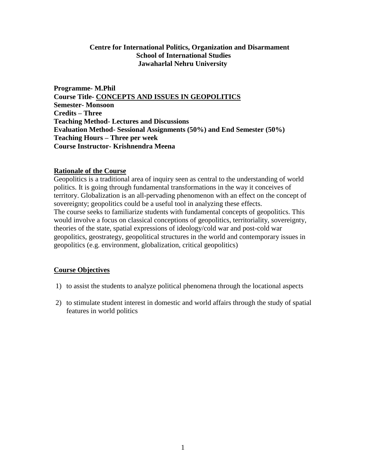## **Centre for International Politics, Organization and Disarmament School of International Studies Jawaharlal Nehru University**

**Programme- M.Phil Course Title- CONCEPTS AND ISSUES IN GEOPOLITICS Semester- Monsoon Credits – Three Teaching Method- Lectures and Discussions Evaluation Method- Sessional Assignments (50%) and End Semester (50%) Teaching Hours – Three per week Course Instructor- Krishnendra Meena**

#### **Rationale of the Course**

Geopolitics is a traditional area of inquiry seen as central to the understanding of world politics. It is going through fundamental transformations in the way it conceives of territory. Globalization is an all-pervading phenomenon with an effect on the concept of sovereignty; geopolitics could be a useful tool in analyzing these effects. The course seeks to familiarize students with fundamental concepts of geopolitics. This would involve a focus on classical conceptions of geopolitics, territoriality, sovereignty, theories of the state, spatial expressions of ideology/cold war and post-cold war geopolitics, geostrategy, geopolitical structures in the world and contemporary issues in geopolitics (e.g. environment, globalization, critical geopolitics)

## **Course Objectives**

- 1) to assist the students to analyze political phenomena through the locational aspects
- 2) to stimulate student interest in domestic and world affairs through the study of spatial features in world politics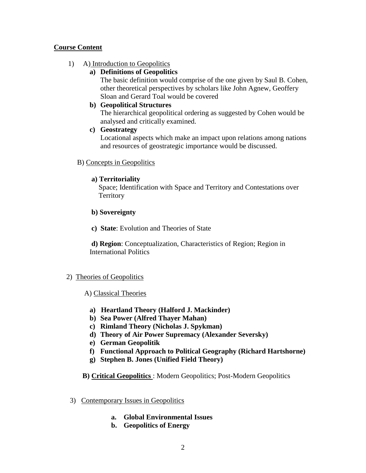# **Course Content**

# 1) A) Introduction to Geopolitics

# **a) Definitions of Geopolitics**

The basic definition would comprise of the one given by Saul B. Cohen, other theoretical perspectives by scholars like John Agnew, Geoffery Sloan and Gerard Toal would be covered

## **b) Geopolitical Structures**

The hierarchical geopolitical ordering as suggested by Cohen would be analysed and critically examined.

## **c) Geostrategy**

Locational aspects which make an impact upon relations among nations and resources of geostrategic importance would be discussed.

## B) Concepts in Geopolitics

# **a) Territoriality**

Space; Identification with Space and Territory and Contestations over **Territory** 

## **b) Sovereignty**

**c) State**: Evolution and Theories of State

**d) Region**: Conceptualization, Characteristics of Region; Region in International Politics

# 2) Theories of Geopolitics

# A) Classical Theories

- **a) Heartland Theory (Halford J. Mackinder)**
- **b) Sea Power (Alfred Thayer Mahan)**
- **c) Rimland Theory (Nicholas J. Spykman)**
- **d) Theory of Air Power Supremacy (Alexander Seversky)**
- **e) German Geopolitik**
- **f) Functional Approach to Political Geography (Richard Hartshorne)**
- **g) Stephen B. Jones (Unified Field Theory)**

# **B) Critical Geopolitics** : Modern Geopolitics; Post-Modern Geopolitics

- 3) Contemporary Issues in Geopolitics
	- **a. Global Environmental Issues**
	- **b. Geopolitics of Energy**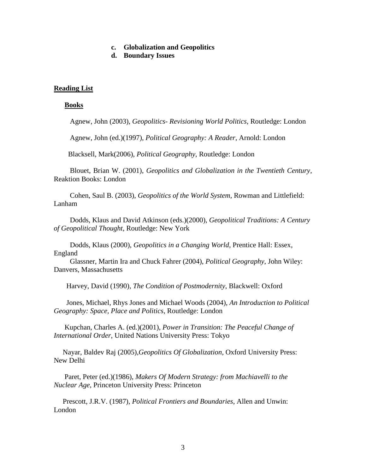#### **c. Globalization and Geopolitics**

**d. Boundary Issues**

### **Reading List**

#### **Books**

Agnew, John (2003), *Geopolitics- Revisioning World Politics*, Routledge: London

Agnew, John (ed.)(1997), *Political Geography: A Reader*, Arnold: London

Blacksell, Mark(2006), *Political Geography*, Routledge: London

 Blouet, Brian W. (2001), *Geopolitics and Globalization in the Twentieth Century*, Reaktion Books: London

 Cohen, Saul B. (2003), *Geopolitics of the World System,* Rowman and Littlefield: Lanham

 Dodds, Klaus and David Atkinson (eds.)(2000), *Geopolitical Traditions: A Century of Geopolitical Thought*, Routledge: New York

 Dodds, Klaus (2000), *Geopolitics in a Changing World*, Prentice Hall: Essex, England

 Glassner, Martin Ira and Chuck Fahrer (2004), *Political Geography*, John Wiley: Danvers, Massachusetts

Harvey, David (1990), *The Condition of Postmodernity*, Blackwell: Oxford

 Jones, Michael, Rhys Jones and Michael Woods (2004), *An Introduction to Political Geography: Space, Place and Politics*, Routledge: London

 Kupchan, Charles A. (ed.)(2001), *Power in Transition: The Peaceful Change of International Order*, United Nations University Press: Tokyo

 Nayar, Baldev Raj (2005),*Geopolitics Of Globalization*, Oxford University Press: New Delhi

 Paret, Peter (ed.)(1986), *Makers Of Modern Strategy: from Machiavelli to the Nuclear Age*, Princeton University Press: Princeton

 Prescott, J.R.V. (1987), *Political Frontiers and Boundaries*, Allen and Unwin: London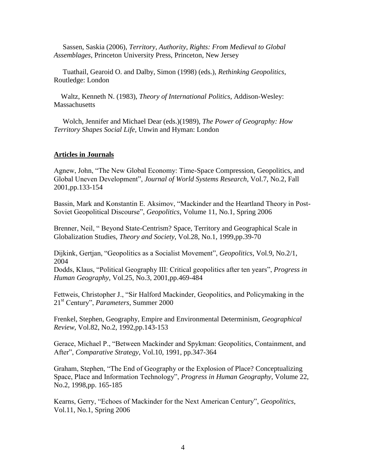Sassen, Saskia (2006), *Territory, Authority, Rights: From Medieval to Global Assemblages*, Princeton University Press, Princeton, New Jersey

 Tuathail, Gearoid O. and Dalby, Simon (1998) (eds.), *Rethinking Geopolitics*, Routledge: London

 Waltz, Kenneth N. (1983), *Theory of International Politics*, Addison-Wesley: **Massachusetts** 

 Wolch, Jennifer and Michael Dear (eds.)(1989), *The Power of Geography: How Territory Shapes Social Life*, Unwin and Hyman: London

#### **Articles in Journals**

Agnew, John, "The New Global Economy: Time-Space Compression, Geopolitics, and Global Uneven Development", *Journal of World Systems Research*, Vol.7, No.2, Fall 2001,pp.133-154

Bassin, Mark and Konstantin E. Aksimov, "Mackinder and the Heartland Theory in Post-Soviet Geopolitical Discourse", *Geopolitics*, Volume 11, No.1, Spring 2006

Brenner, Neil, " Beyond State-Centrism? Space, Territory and Geographical Scale in Globalization Studies, *Theory and Society*, Vol.28, No.1, 1999,pp.39-70

Dijkink, Gertjan, "Geopolitics as a Socialist Movement", *Geopolitics*, Vol.9, No.2/1, 2004

Dodds, Klaus, "Political Geography III: Critical geopolitics after ten years", *Progress in Human Geography*, Vol.25, No.3, 2001,pp.469-484

Fettweis, Christopher J., "Sir Halford Mackinder, Geopolitics, and Policymaking in the 21st Century", *Parameters*, Summer 2000

Frenkel, Stephen, Geography, Empire and Environmental Determinism, *Geographical Review*, Vol.82, No.2, 1992,pp.143-153

Gerace, Michael P., "Between Mackinder and Spykman: Geopolitics, Containment, and After", *Comparative Strategy*, Vol.10, 1991, pp.347-364

Graham, Stephen, "The End of Geography or the Explosion of Place? Conceptualizing Space, Place and Information Technology", *Progress in Human Geography*, Volume 22, No.2, 1998,pp. 165-185

Kearns, Gerry, "Echoes of Mackinder for the Next American Century", *Geopolitics*, Vol.11, No.1, Spring 2006